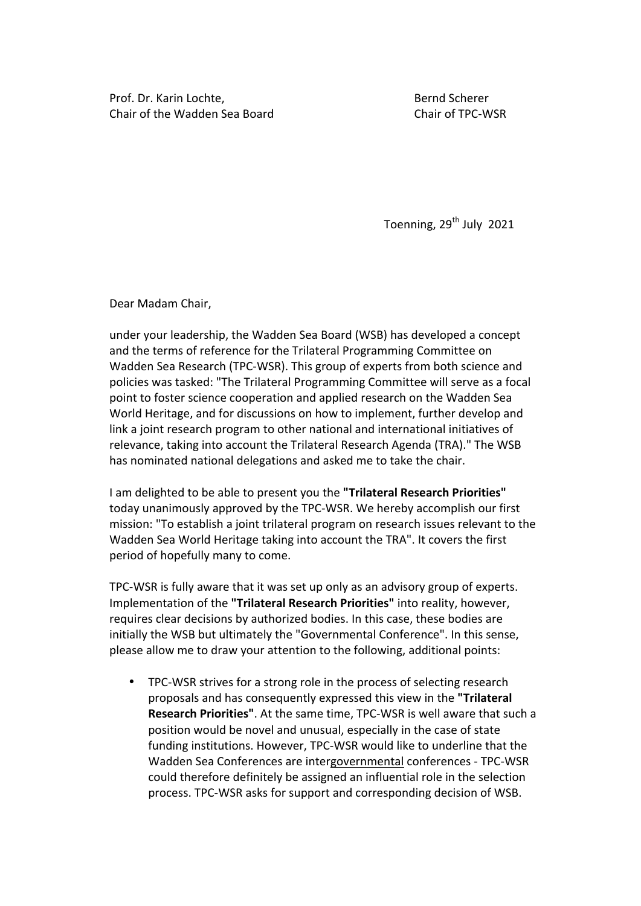Prof. Dr. Karin Lochte, The Communication of the Bernd Scherer Chair of the Wadden Sea Board **Chair of TPC-WSR** 

Toenning, 29<sup>th</sup> July 2021

Dear Madam Chair,

under your leadership, the Wadden Sea Board (WSB) has developed a concept and the terms of reference for the Trilateral Programming Committee on Wadden Sea Research (TPC-WSR). This group of experts from both science and policies was tasked: "The Trilateral Programming Committee will serve as a focal point to foster science cooperation and applied research on the Wadden Sea World Heritage, and for discussions on how to implement, further develop and link a joint research program to other national and international initiatives of relevance, taking into account the Trilateral Research Agenda (TRA)." The WSB has nominated national delegations and asked me to take the chair.

I am delighted to be able to present you the "Trilateral Research Priorities" today unanimously approved by the TPC-WSR. We hereby accomplish our first mission: "To establish a joint trilateral program on research issues relevant to the Wadden Sea World Heritage taking into account the TRA". It covers the first period of hopefully many to come.

TPC-WSR is fully aware that it was set up only as an advisory group of experts. Implementation of the "Trilateral Research Priorities" into reality, however, requires clear decisions by authorized bodies. In this case, these bodies are initially the WSB but ultimately the "Governmental Conference". In this sense, please allow me to draw your attention to the following, additional points:

• TPC-WSR strives for a strong role in the process of selecting research proposals and has consequently expressed this view in the "Trilateral **Research Priorities"**. At the same time, TPC-WSR is well aware that such a position would be novel and unusual, especially in the case of state funding institutions. However, TPC-WSR would like to underline that the Wadden Sea Conferences are intergovernmental conferences - TPC-WSR could therefore definitely be assigned an influential role in the selection process. TPC-WSR asks for support and corresponding decision of WSB.